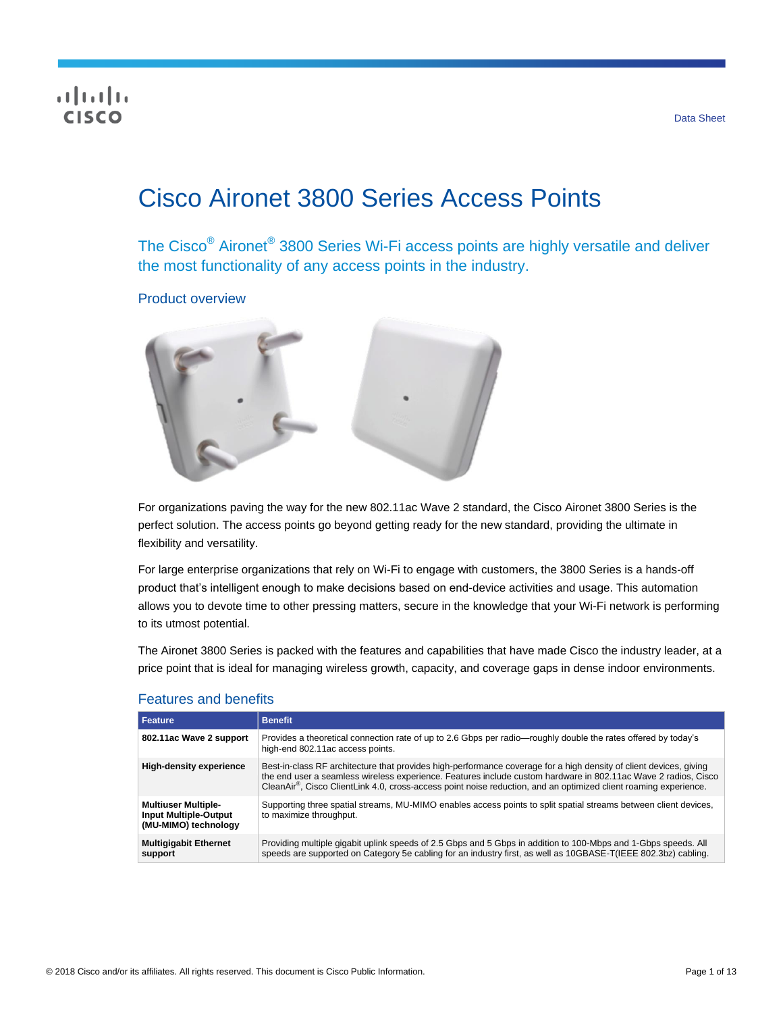## **CISCO**

# Cisco Aironet 3800 Series Access Points

The Cisco<sup>®</sup> Aironet<sup>®</sup> 3800 Series Wi-Fi access points are highly versatile and deliver the most functionality of any access points in the industry.

Product overview



For organizations paving the way for the new 802.11ac Wave 2 standard, the Cisco Aironet 3800 Series is the perfect solution. The access points go beyond getting ready for the new standard, providing the ultimate in flexibility and versatility.

For large enterprise organizations that rely on Wi-Fi to engage with customers, the 3800 Series is a hands-off product that's intelligent enough to make decisions based on end-device activities and usage. This automation allows you to devote time to other pressing matters, secure in the knowledge that your Wi-Fi network is performing to its utmost potential.

The Aironet 3800 Series is packed with the features and capabilities that have made Cisco the industry leader, at a price point that is ideal for managing wireless growth, capacity, and coverage gaps in dense indoor environments.

| Feature                                                                            | <b>Benefit</b>                                                                                                                                                                                                                                                                                                                                                        |
|------------------------------------------------------------------------------------|-----------------------------------------------------------------------------------------------------------------------------------------------------------------------------------------------------------------------------------------------------------------------------------------------------------------------------------------------------------------------|
| 802.11ac Wave 2 support                                                            | Provides a theoretical connection rate of up to 2.6 Gbps per radio—roughly double the rates offered by today's<br>high-end 802.11ac access points.                                                                                                                                                                                                                    |
| <b>High-density experience</b>                                                     | Best-in-class RF architecture that provides high-performance coverage for a high density of client devices, giving<br>the end user a seamless wireless experience. Features include custom hardware in 802.11ac Wave 2 radios, Cisco<br>CleanAir <sup>®</sup> , Cisco ClientLink 4.0, cross-access point noise reduction, and an optimized client roaming experience. |
| <b>Multiuser Multiple-</b><br><b>Input Multiple-Output</b><br>(MU-MIMO) technology | Supporting three spatial streams, MU-MIMO enables access points to split spatial streams between client devices,<br>to maximize throughput.                                                                                                                                                                                                                           |
| <b>Multigigabit Ethernet</b><br>support                                            | Providing multiple gigabit uplink speeds of 2.5 Gbps and 5 Gbps in addition to 100-Mbps and 1-Gbps speeds. All<br>speeds are supported on Category 5e cabling for an industry first, as well as 10GBASE-T(IEEE 802.3bz) cabling.                                                                                                                                      |

## Features and benefits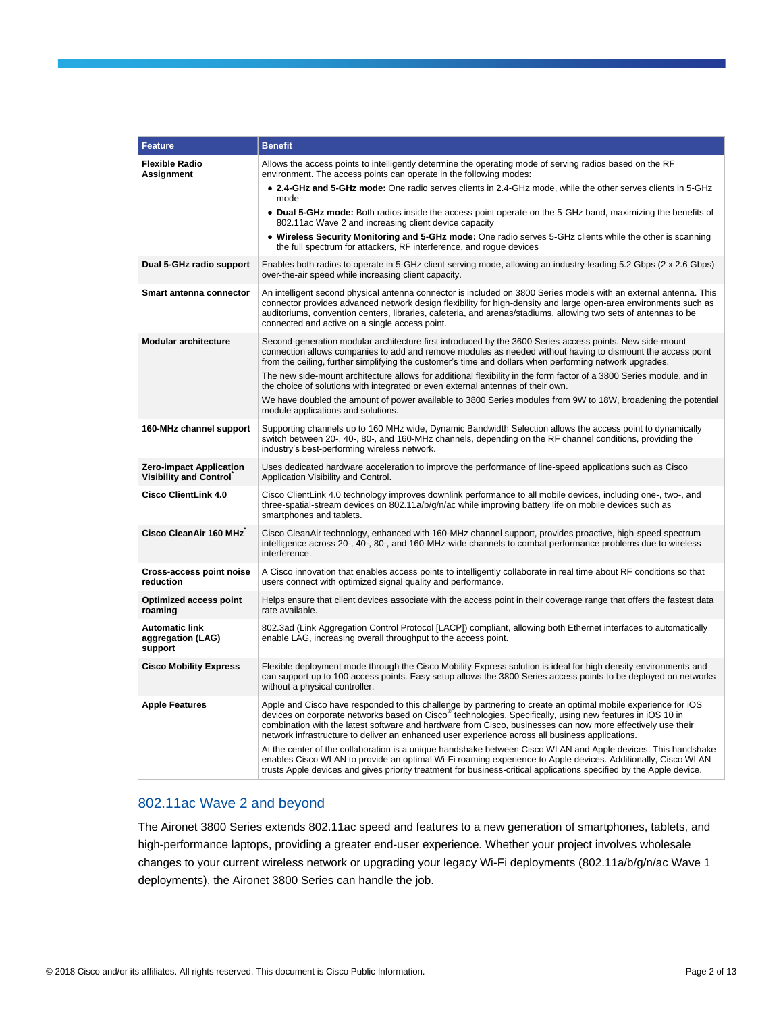| <b>Feature</b>                                           | <b>Benefit</b>                                                                                                                                                                                                                                                                                                                                                                                                                                           |
|----------------------------------------------------------|----------------------------------------------------------------------------------------------------------------------------------------------------------------------------------------------------------------------------------------------------------------------------------------------------------------------------------------------------------------------------------------------------------------------------------------------------------|
| <b>Flexible Radio</b><br>Assignment                      | Allows the access points to intelligently determine the operating mode of serving radios based on the RF<br>environment. The access points can operate in the following modes:                                                                                                                                                                                                                                                                           |
|                                                          | • 2.4-GHz and 5-GHz mode: One radio serves clients in 2.4-GHz mode, while the other serves clients in 5-GHz<br>mode                                                                                                                                                                                                                                                                                                                                      |
|                                                          | • Dual 5-GHz mode: Both radios inside the access point operate on the 5-GHz band, maximizing the benefits of<br>802.11ac Wave 2 and increasing client device capacity                                                                                                                                                                                                                                                                                    |
|                                                          | • Wireless Security Monitoring and 5-GHz mode: One radio serves 5-GHz clients while the other is scanning<br>the full spectrum for attackers, RF interference, and rogue devices                                                                                                                                                                                                                                                                         |
| Dual 5-GHz radio support                                 | Enables both radios to operate in 5-GHz client serving mode, allowing an industry-leading 5.2 Gbps (2 x 2.6 Gbps)<br>over-the-air speed while increasing client capacity.                                                                                                                                                                                                                                                                                |
| Smart antenna connector                                  | An intelligent second physical antenna connector is included on 3800 Series models with an external antenna. This<br>connector provides advanced network design flexibility for high-density and large open-area environments such as<br>auditoriums, convention centers, libraries, cafeteria, and arenas/stadiums, allowing two sets of antennas to be<br>connected and active on a single access point.                                               |
| <b>Modular architecture</b>                              | Second-generation modular architecture first introduced by the 3600 Series access points. New side-mount<br>connection allows companies to add and remove modules as needed without having to dismount the access point<br>from the ceiling, further simplifying the customer's time and dollars when performing network upgrades.                                                                                                                       |
|                                                          | The new side-mount architecture allows for additional flexibility in the form factor of a 3800 Series module, and in<br>the choice of solutions with integrated or even external antennas of their own.                                                                                                                                                                                                                                                  |
|                                                          | We have doubled the amount of power available to 3800 Series modules from 9W to 18W, broadening the potential<br>module applications and solutions.                                                                                                                                                                                                                                                                                                      |
| 160-MHz channel support                                  | Supporting channels up to 160 MHz wide, Dynamic Bandwidth Selection allows the access point to dynamically<br>switch between 20-, 40-, 80-, and 160-MHz channels, depending on the RF channel conditions, providing the<br>industry's best-performing wireless network.                                                                                                                                                                                  |
| <b>Zero-impact Application</b><br>Visibility and Control | Uses dedicated hardware acceleration to improve the performance of line-speed applications such as Cisco<br>Application Visibility and Control.                                                                                                                                                                                                                                                                                                          |
| <b>Cisco ClientLink 4.0</b>                              | Cisco ClientLink 4.0 technology improves downlink performance to all mobile devices, including one-, two-, and<br>three-spatial-stream devices on 802.11a/b/g/n/ac while improving battery life on mobile devices such as<br>smartphones and tablets.                                                                                                                                                                                                    |
| Cisco CleanAir 160 MHz                                   | Cisco CleanAir technology, enhanced with 160-MHz channel support, provides proactive, high-speed spectrum<br>intelligence across 20-, 40-, 80-, and 160-MHz-wide channels to combat performance problems due to wireless<br>interference.                                                                                                                                                                                                                |
| Cross-access point noise<br>reduction                    | A Cisco innovation that enables access points to intelligently collaborate in real time about RF conditions so that<br>users connect with optimized signal quality and performance.                                                                                                                                                                                                                                                                      |
| Optimized access point<br>roaming                        | Helps ensure that client devices associate with the access point in their coverage range that offers the fastest data<br>rate available.                                                                                                                                                                                                                                                                                                                 |
| <b>Automatic link</b><br>aggregation (LAG)<br>support    | 802.3ad (Link Aggregation Control Protocol [LACP]) compliant, allowing both Ethernet interfaces to automatically<br>enable LAG, increasing overall throughput to the access point.                                                                                                                                                                                                                                                                       |
| <b>Cisco Mobility Express</b>                            | Flexible deployment mode through the Cisco Mobility Express solution is ideal for high density environments and<br>can support up to 100 access points. Easy setup allows the 3800 Series access points to be deployed on networks<br>without a physical controller.                                                                                                                                                                                     |
| <b>Apple Features</b>                                    | Apple and Cisco have responded to this challenge by partnering to create an optimal mobile experience for iOS<br>devices on corporate networks based on Cisco <sup>®</sup> technologies. Specifically, using new features in iOS 10 in<br>combination with the latest software and hardware from Cisco, businesses can now more effectively use their<br>network infrastructure to deliver an enhanced user experience across all business applications. |
|                                                          | At the center of the collaboration is a unique handshake between Cisco WLAN and Apple devices. This handshake<br>enables Cisco WLAN to provide an optimal Wi-Fi roaming experience to Apple devices. Additionally, Cisco WLAN<br>trusts Apple devices and gives priority treatment for business-critical applications specified by the Apple device.                                                                                                     |

## 802.11ac Wave 2 and beyond

The Aironet 3800 Series extends 802.11ac speed and features to a new generation of smartphones, tablets, and high-performance laptops, providing a greater end-user experience. Whether your project involves wholesale changes to your current wireless network or upgrading your legacy Wi-Fi deployments (802.11a/b/g/n/ac Wave 1 deployments), the Aironet 3800 Series can handle the job.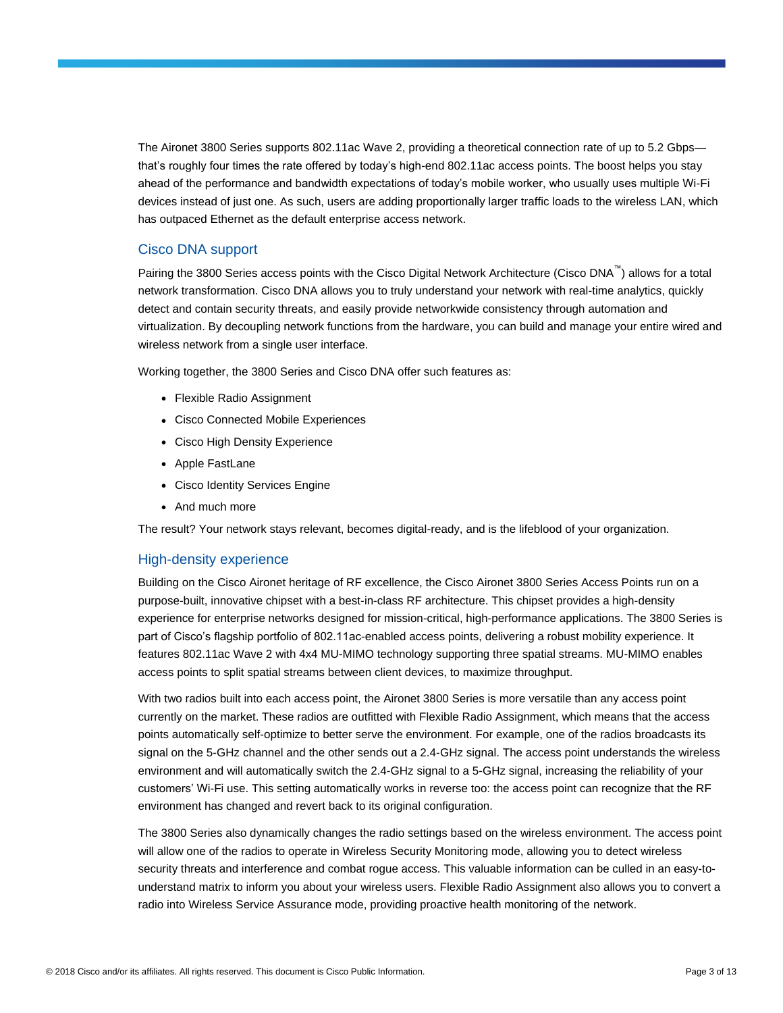The Aironet 3800 Series supports 802.11ac Wave 2, providing a theoretical connection rate of up to 5.2 Gbps that's roughly four times the rate offered by today's high-end 802.11ac access points. The boost helps you stay ahead of the performance and bandwidth expectations of today's mobile worker, who usually uses multiple Wi-Fi devices instead of just one. As such, users are adding proportionally larger traffic loads to the wireless LAN, which has outpaced Ethernet as the default enterprise access network.

### Cisco DNA support

Pairing the 3800 Series access points with the Cisco Digital Network Architecture (Cisco DNA™) allows for a total network transformation. Cisco DNA allows you to truly understand your network with real-time analytics, quickly detect and contain security threats, and easily provide networkwide consistency through automation and virtualization. By decoupling network functions from the hardware, you can build and manage your entire wired and wireless network from a single user interface.

Working together, the 3800 Series and Cisco DNA offer such features as:

- Flexible Radio Assignment
- Cisco Connected Mobile Experiences
- Cisco High Density Experience
- Apple FastLane
- Cisco Identity Services Engine
- And much more

The result? Your network stays relevant, becomes digital-ready, and is the lifeblood of your organization.

## High-density experience

Building on the Cisco Aironet heritage of RF excellence, the Cisco Aironet 3800 Series Access Points run on a purpose-built, innovative chipset with a best-in-class RF architecture. This chipset provides a high-density experience for enterprise networks designed for mission-critical, high-performance applications. The 3800 Series is part of Cisco's flagship portfolio of 802.11ac-enabled access points, delivering a robust mobility experience. It features 802.11ac Wave 2 with 4x4 MU-MIMO technology supporting three spatial streams. MU-MIMO enables access points to split spatial streams between client devices, to maximize throughput.

With two radios built into each access point, the Aironet 3800 Series is more versatile than any access point currently on the market. These radios are outfitted with Flexible Radio Assignment, which means that the access points automatically self-optimize to better serve the environment. For example, one of the radios broadcasts its signal on the 5-GHz channel and the other sends out a 2.4-GHz signal. The access point understands the wireless environment and will automatically switch the 2.4-GHz signal to a 5-GHz signal, increasing the reliability of your customers' Wi-Fi use. This setting automatically works in reverse too: the access point can recognize that the RF environment has changed and revert back to its original configuration.

The 3800 Series also dynamically changes the radio settings based on the wireless environment. The access point will allow one of the radios to operate in Wireless Security Monitoring mode, allowing you to detect wireless security threats and interference and combat rogue access. This valuable information can be culled in an easy-tounderstand matrix to inform you about your wireless users. Flexible Radio Assignment also allows you to convert a radio into Wireless Service Assurance mode, providing proactive health monitoring of the network.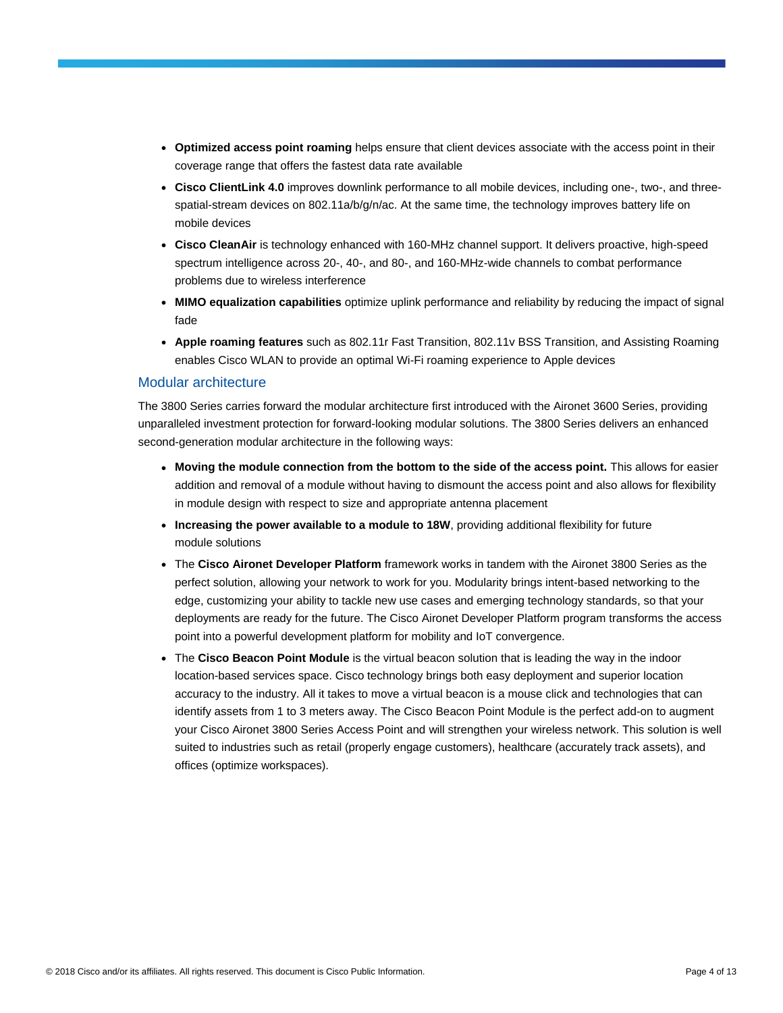- **Optimized access point roaming** helps ensure that client devices associate with the access point in their coverage range that offers the fastest data rate available
- **Cisco ClientLink 4.0** improves downlink performance to all mobile devices, including one-, two-, and threespatial-stream devices on 802.11a/b/g/n/ac. At the same time, the technology improves battery life on mobile devices
- **Cisco CleanAir** is technology enhanced with 160-MHz channel support. It delivers proactive, high-speed spectrum intelligence across 20-, 40-, and 80-, and 160-MHz-wide channels to combat performance problems due to wireless interference
- **MIMO equalization capabilities** optimize uplink performance and reliability by reducing the impact of signal fade
- **Apple roaming features** such as 802.11r Fast Transition, 802.11v BSS Transition, and Assisting Roaming enables Cisco WLAN to provide an optimal Wi-Fi roaming experience to Apple devices

#### Modular architecture

The 3800 Series carries forward the modular architecture first introduced with the Aironet 3600 Series, providing unparalleled investment protection for forward-looking modular solutions. The 3800 Series delivers an enhanced second-generation modular architecture in the following ways:

- **Moving the module connection from the bottom to the side of the access point.** This allows for easier addition and removal of a module without having to dismount the access point and also allows for flexibility in module design with respect to size and appropriate antenna placement
- **Increasing the power available to a module to 18W**, providing additional flexibility for future module solutions
- The **Cisco Aironet Developer Platform** framework works in tandem with the Aironet 3800 Series as the perfect solution, allowing your network to work for you. Modularity brings intent-based networking to the edge, customizing your ability to tackle new use cases and emerging technology standards, so that your deployments are ready for the future. The Cisco Aironet Developer Platform program transforms the access point into a powerful development platform for mobility and IoT convergence.
- The **Cisco Beacon Point Module** is the virtual beacon solution that is leading the way in the indoor location-based services space. Cisco technology brings both easy deployment and superior location accuracy to the industry. All it takes to move a virtual beacon is a mouse click and technologies that can identify assets from 1 to 3 meters away. The Cisco Beacon Point Module is the perfect add-on to augment your Cisco Aironet 3800 Series Access Point and will strengthen your wireless network. This solution is well suited to industries such as retail (properly engage customers), healthcare (accurately track assets), and offices (optimize workspaces).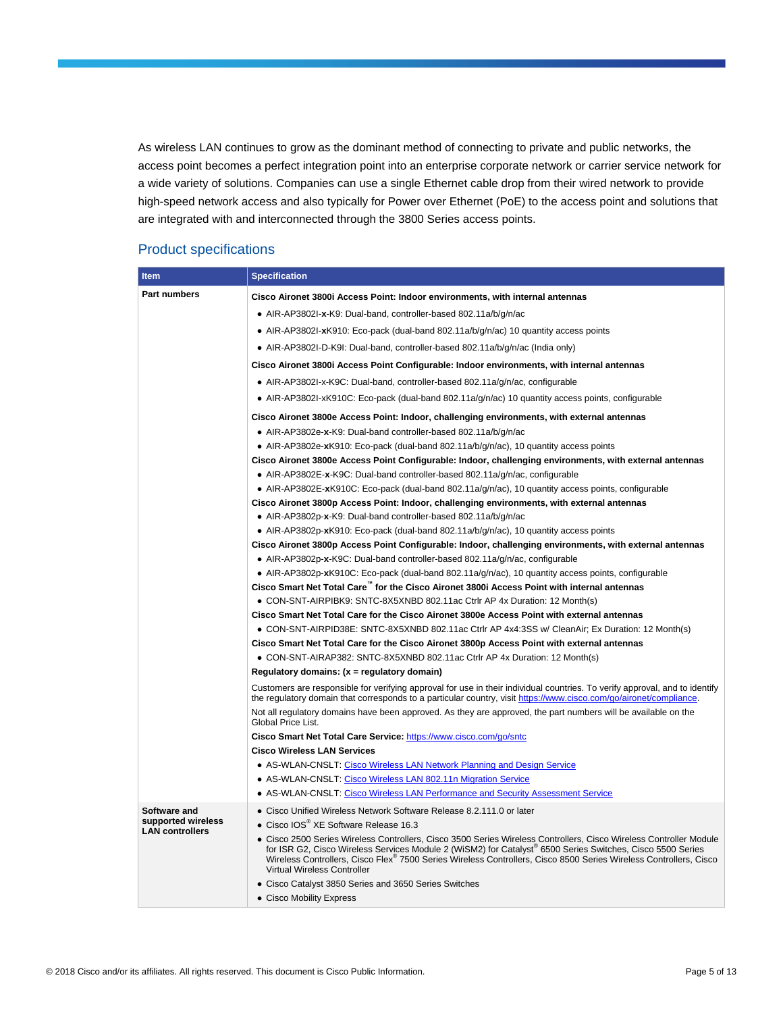As wireless LAN continues to grow as the dominant method of connecting to private and public networks, the access point becomes a perfect integration point into an enterprise corporate network or carrier service network for a wide variety of solutions. Companies can use a single Ethernet cable drop from their wired network to provide high-speed network access and also typically for Power over Ethernet (PoE) to the access point and solutions that are integrated with and interconnected through the 3800 Series access points.

## Product specifications

| <b>Item</b>                                                  | <b>Specification</b>                                                                                                                                                                                                                                                                                                                                                                 |  |  |  |  |  |  |
|--------------------------------------------------------------|--------------------------------------------------------------------------------------------------------------------------------------------------------------------------------------------------------------------------------------------------------------------------------------------------------------------------------------------------------------------------------------|--|--|--|--|--|--|
| Part numbers                                                 | Cisco Aironet 3800i Access Point: Indoor environments, with internal antennas                                                                                                                                                                                                                                                                                                        |  |  |  |  |  |  |
|                                                              | • AIR-AP3802I-x-K9: Dual-band, controller-based 802.11a/b/g/n/ac                                                                                                                                                                                                                                                                                                                     |  |  |  |  |  |  |
|                                                              | • AIR-AP3802I-xK910: Eco-pack (dual-band 802.11a/b/g/n/ac) 10 quantity access points                                                                                                                                                                                                                                                                                                 |  |  |  |  |  |  |
|                                                              | • AIR-AP3802I-D-K9I: Dual-band, controller-based 802.11a/b/g/n/ac (India only)                                                                                                                                                                                                                                                                                                       |  |  |  |  |  |  |
|                                                              | Cisco Aironet 3800i Access Point Configurable: Indoor environments, with internal antennas                                                                                                                                                                                                                                                                                           |  |  |  |  |  |  |
|                                                              |                                                                                                                                                                                                                                                                                                                                                                                      |  |  |  |  |  |  |
|                                                              | • AIR-AP3802I-x-K9C: Dual-band, controller-based 802.11a/g/n/ac, configurable                                                                                                                                                                                                                                                                                                        |  |  |  |  |  |  |
|                                                              | • AIR-AP3802I-xK910C: Eco-pack (dual-band 802.11a/g/n/ac) 10 quantity access points, configurable                                                                                                                                                                                                                                                                                    |  |  |  |  |  |  |
|                                                              | Cisco Aironet 3800e Access Point: Indoor, challenging environments, with external antennas                                                                                                                                                                                                                                                                                           |  |  |  |  |  |  |
|                                                              | • AIR-AP3802e-x-K9: Dual-band controller-based 802.11a/b/g/n/ac                                                                                                                                                                                                                                                                                                                      |  |  |  |  |  |  |
|                                                              | • AIR-AP3802e-xK910: Eco-pack (dual-band 802.11a/b/g/n/ac), 10 quantity access points                                                                                                                                                                                                                                                                                                |  |  |  |  |  |  |
|                                                              | Cisco Aironet 3800e Access Point Configurable: Indoor, challenging environments, with external antennas                                                                                                                                                                                                                                                                              |  |  |  |  |  |  |
|                                                              | • AIR-AP3802E-x-K9C: Dual-band controller-based 802.11a/g/n/ac, configurable                                                                                                                                                                                                                                                                                                         |  |  |  |  |  |  |
|                                                              | • AIR-AP3802E-xK910C: Eco-pack (dual-band 802.11a/g/n/ac), 10 quantity access points, configurable                                                                                                                                                                                                                                                                                   |  |  |  |  |  |  |
|                                                              | Cisco Aironet 3800p Access Point: Indoor, challenging environments, with external antennas                                                                                                                                                                                                                                                                                           |  |  |  |  |  |  |
|                                                              | • AIR-AP3802p-x-K9: Dual-band controller-based 802.11a/b/g/n/ac                                                                                                                                                                                                                                                                                                                      |  |  |  |  |  |  |
|                                                              | • AIR-AP3802p-xK910: Eco-pack (dual-band 802.11a/b/g/n/ac), 10 quantity access points                                                                                                                                                                                                                                                                                                |  |  |  |  |  |  |
|                                                              | Cisco Aironet 3800p Access Point Configurable: Indoor, challenging environments, with external antennas                                                                                                                                                                                                                                                                              |  |  |  |  |  |  |
|                                                              | • AIR-AP3802p-x-K9C: Dual-band controller-based 802.11a/g/n/ac, configurable                                                                                                                                                                                                                                                                                                         |  |  |  |  |  |  |
|                                                              | • AIR-AP3802p-xK910C: Eco-pack (dual-band 802.11a/g/n/ac), 10 quantity access points, configurable<br>Cisco Smart Net Total Care <sup>"</sup> for the Cisco Aironet 3800i Access Point with internal antennas                                                                                                                                                                        |  |  |  |  |  |  |
|                                                              | • CON-SNT-AIRPIBK9: SNTC-8X5XNBD 802.11ac Ctrlr AP 4x Duration: 12 Month(s)                                                                                                                                                                                                                                                                                                          |  |  |  |  |  |  |
|                                                              | Cisco Smart Net Total Care for the Cisco Aironet 3800e Access Point with external antennas                                                                                                                                                                                                                                                                                           |  |  |  |  |  |  |
|                                                              | • CON-SNT-AIRPID38E: SNTC-8X5XNBD 802.11ac Ctrlr AP 4x4:3SS w/ CleanAir; Ex Duration: 12 Month(s)                                                                                                                                                                                                                                                                                    |  |  |  |  |  |  |
|                                                              | Cisco Smart Net Total Care for the Cisco Aironet 3800p Access Point with external antennas                                                                                                                                                                                                                                                                                           |  |  |  |  |  |  |
|                                                              | • CON-SNT-AIRAP382: SNTC-8X5XNBD 802.11ac Ctrlr AP 4x Duration: 12 Month(s)                                                                                                                                                                                                                                                                                                          |  |  |  |  |  |  |
|                                                              | Regulatory domains: $(x =$ regulatory domain)                                                                                                                                                                                                                                                                                                                                        |  |  |  |  |  |  |
|                                                              | Customers are responsible for verifying approval for use in their individual countries. To verify approval, and to identify<br>the regulatory domain that corresponds to a particular country, visit https://www.cisco.com/go/aironet/compliance.                                                                                                                                    |  |  |  |  |  |  |
|                                                              | Not all regulatory domains have been approved. As they are approved, the part numbers will be available on the<br>Global Price List.                                                                                                                                                                                                                                                 |  |  |  |  |  |  |
|                                                              | Cisco Smart Net Total Care Service: https://www.cisco.com/go/sntc                                                                                                                                                                                                                                                                                                                    |  |  |  |  |  |  |
|                                                              | <b>Cisco Wireless LAN Services</b>                                                                                                                                                                                                                                                                                                                                                   |  |  |  |  |  |  |
|                                                              | • AS-WLAN-CNSLT: Cisco Wireless LAN Network Planning and Design Service                                                                                                                                                                                                                                                                                                              |  |  |  |  |  |  |
|                                                              | • AS-WLAN-CNSLT: Cisco Wireless LAN 802.11n Migration Service                                                                                                                                                                                                                                                                                                                        |  |  |  |  |  |  |
|                                                              | • AS-WLAN-CNSLT: Cisco Wireless LAN Performance and Security Assessment Service                                                                                                                                                                                                                                                                                                      |  |  |  |  |  |  |
| Software and<br>supported wireless<br><b>LAN controllers</b> | • Cisco Unified Wireless Network Software Release 8.2.111.0 or later                                                                                                                                                                                                                                                                                                                 |  |  |  |  |  |  |
|                                                              | • Cisco IOS <sup>®</sup> XE Software Release 16.3                                                                                                                                                                                                                                                                                                                                    |  |  |  |  |  |  |
|                                                              | · Cisco 2500 Series Wireless Controllers, Cisco 3500 Series Wireless Controllers, Cisco Wireless Controller Module<br>for ISR G2, Cisco Wireless Services Module 2 (WiSM2) for Catalyst® 6500 Series Switches, Cisco 5500 Series<br>Wireless Controllers, Cisco Flex® 7500 Series Wireless Controllers, Cisco 8500 Series Wireless Controllers, Cisco<br>Virtual Wireless Controller |  |  |  |  |  |  |
|                                                              | • Cisco Catalyst 3850 Series and 3650 Series Switches                                                                                                                                                                                                                                                                                                                                |  |  |  |  |  |  |
|                                                              | • Cisco Mobility Express                                                                                                                                                                                                                                                                                                                                                             |  |  |  |  |  |  |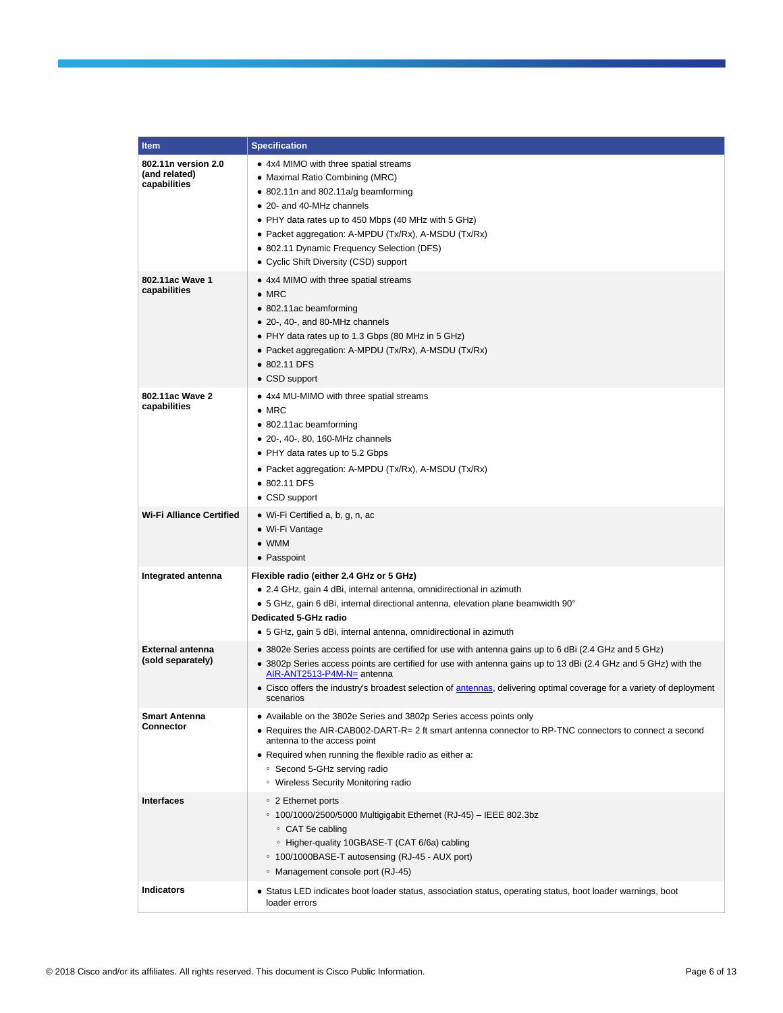| Item                                                 | <b>Specification</b>                                                                                                                                                                                                                                                                                                                                                                         |
|------------------------------------------------------|----------------------------------------------------------------------------------------------------------------------------------------------------------------------------------------------------------------------------------------------------------------------------------------------------------------------------------------------------------------------------------------------|
| 802.11n version 2.0<br>(and related)<br>capabilities | • 4x4 MIMO with three spatial streams<br>• Maximal Ratio Combining (MRC)<br>$\bullet$ 802.11n and 802.11a/g beamforming<br>• 20- and 40-MHz channels<br>• PHY data rates up to 450 Mbps (40 MHz with 5 GHz)<br>• Packet aggregation: A-MPDU (Tx/Rx), A-MSDU (Tx/Rx)<br>• 802.11 Dynamic Frequency Selection (DFS)<br>• Cyclic Shift Diversity (CSD) support                                  |
| 802.11ac Wave 1<br>capabilities                      | • 4x4 MIMO with three spatial streams<br>$\bullet$ MRC<br>• 802.11ac beamforming<br>• 20-, 40-, and 80-MHz channels<br>• PHY data rates up to 1.3 Gbps (80 MHz in 5 GHz)<br>• Packet aggregation: A-MPDU (Tx/Rx), A-MSDU (Tx/Rx)<br>• 802.11 DFS<br>• CSD support                                                                                                                            |
| 802.11ac Wave 2<br>capabilities                      | • 4x4 MU-MIMO with three spatial streams<br>$\bullet$ MRC<br>• 802.11ac beamforming<br>• 20-, 40-, 80, 160-MHz channels<br>• PHY data rates up to 5.2 Gbps<br>• Packet aggregation: A-MPDU (Tx/Rx), A-MSDU (Tx/Rx)<br>• 802.11 DFS<br>• CSD support                                                                                                                                          |
| <b>Wi-Fi Alliance Certified</b>                      | • Wi-Fi Certified a, b, g, n, ac<br>• Wi-Fi Vantage<br>$\bullet$ WMM<br>• Passpoint                                                                                                                                                                                                                                                                                                          |
| Integrated antenna                                   | Flexible radio (either 2.4 GHz or 5 GHz)<br>• 2.4 GHz, gain 4 dBi, internal antenna, omnidirectional in azimuth<br>• 5 GHz, gain 6 dBi, internal directional antenna, elevation plane beamwidth 90°<br>Dedicated 5-GHz radio<br>• 5 GHz, gain 5 dBi, internal antenna, omnidirectional in azimuth                                                                                            |
| <b>External antenna</b><br>(sold separately)         | • 3802e Series access points are certified for use with antenna gains up to 6 dBi (2.4 GHz and 5 GHz)<br>• 3802p Series access points are certified for use with antenna gains up to 13 dBi (2.4 GHz and 5 GHz) with the<br>AIR-ANT2513-P4M-N= antenna<br>• Cisco offers the industry's broadest selection of antennas, delivering optimal coverage for a variety of deployment<br>scenarios |
| <b>Smart Antenna</b><br>Connector                    | • Available on the 3802e Series and 3802p Series access points only<br>• Requires the AIR-CAB002-DART-R= 2 ft smart antenna connector to RP-TNC connectors to connect a second<br>antenna to the access point<br>• Required when running the flexible radio as either a:<br>○ Second 5-GHz serving radio<br>○ Wireless Security Monitoring radio                                             |
| <b>Interfaces</b>                                    | ○ 2 Ethernet ports<br>○ 100/1000/2500/5000 Multigigabit Ethernet (RJ-45) - IEEE 802.3bz<br>∘ CAT 5e cabling<br>○ Higher-quality 10GBASE-T (CAT 6/6a) cabling<br>○ 100/1000BASE-T autosensing (RJ-45 - AUX port)<br><sup>o</sup> Management console port (RJ-45)                                                                                                                              |
| <b>Indicators</b>                                    | • Status LED indicates boot loader status, association status, operating status, boot loader warnings, boot<br>loader errors                                                                                                                                                                                                                                                                 |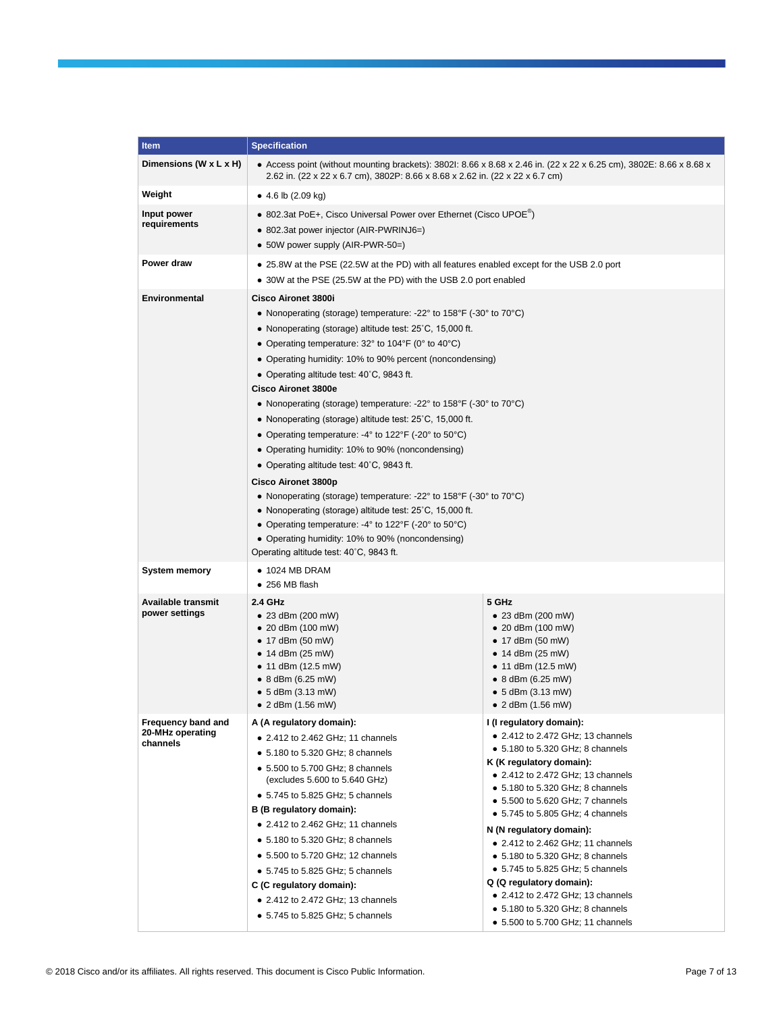| Item                                               | <b>Specification</b>                                                                                                                                                                                                                                                                                                                                                                                                                                                                                                                                                                                                                                                                                                                                                                                                                                                                                                                                                                                                                                                                                                                                                                                   |                                                                                                                                                                                                                                                                                                                                                                                                                                                                                                                                                                                                                   |  |  |  |
|----------------------------------------------------|--------------------------------------------------------------------------------------------------------------------------------------------------------------------------------------------------------------------------------------------------------------------------------------------------------------------------------------------------------------------------------------------------------------------------------------------------------------------------------------------------------------------------------------------------------------------------------------------------------------------------------------------------------------------------------------------------------------------------------------------------------------------------------------------------------------------------------------------------------------------------------------------------------------------------------------------------------------------------------------------------------------------------------------------------------------------------------------------------------------------------------------------------------------------------------------------------------|-------------------------------------------------------------------------------------------------------------------------------------------------------------------------------------------------------------------------------------------------------------------------------------------------------------------------------------------------------------------------------------------------------------------------------------------------------------------------------------------------------------------------------------------------------------------------------------------------------------------|--|--|--|
| Dimensions (W x L x H)                             | • Access point (without mounting brackets): 38021: 8.66 x 8.68 x 2.46 in. (22 x 22 x 6.25 cm), 3802E: 8.66 x 8.68 x<br>2.62 in. (22 x 22 x 6.7 cm), 3802P: 8.66 x 8.68 x 2.62 in. (22 x 22 x 6.7 cm)                                                                                                                                                                                                                                                                                                                                                                                                                                                                                                                                                                                                                                                                                                                                                                                                                                                                                                                                                                                                   |                                                                                                                                                                                                                                                                                                                                                                                                                                                                                                                                                                                                                   |  |  |  |
| Weight                                             | $\bullet$ 4.6 lb (2.09 kg)                                                                                                                                                                                                                                                                                                                                                                                                                                                                                                                                                                                                                                                                                                                                                                                                                                                                                                                                                                                                                                                                                                                                                                             |                                                                                                                                                                                                                                                                                                                                                                                                                                                                                                                                                                                                                   |  |  |  |
| Input power<br>requirements                        | • 802.3at PoE+, Cisco Universal Power over Ethernet (Cisco UPOE®)<br>• 802.3at power injector (AIR-PWRINJ6=)<br>• 50W power supply (AIR-PWR-50=)                                                                                                                                                                                                                                                                                                                                                                                                                                                                                                                                                                                                                                                                                                                                                                                                                                                                                                                                                                                                                                                       |                                                                                                                                                                                                                                                                                                                                                                                                                                                                                                                                                                                                                   |  |  |  |
| Power draw                                         | • 25.8W at the PSE (22.5W at the PD) with all features enabled except for the USB 2.0 port<br>• 30W at the PSE (25.5W at the PD) with the USB 2.0 port enabled                                                                                                                                                                                                                                                                                                                                                                                                                                                                                                                                                                                                                                                                                                                                                                                                                                                                                                                                                                                                                                         |                                                                                                                                                                                                                                                                                                                                                                                                                                                                                                                                                                                                                   |  |  |  |
| Environmental                                      | <b>Cisco Aironet 3800i</b><br>• Nonoperating (storage) temperature: -22 $\degree$ to 158 $\degree$ F (-30 $\degree$ to 70 $\degree$ C)<br>• Nonoperating (storage) altitude test: 25°C, 15,000 ft.<br>• Operating temperature: $32^{\circ}$ to 104°F (0° to 40°C)<br>• Operating humidity: 10% to 90% percent (noncondensing)<br>• Operating altitude test: $40^{\circ}$ C, 9843 ft.<br><b>Cisco Aironet 3800e</b><br>• Nonoperating (storage) temperature: -22 $\degree$ to 158 $\degree$ F (-30 $\degree$ to 70 $\degree$ C)<br>• Nonoperating (storage) altitude test: 25°C, 15,000 ft.<br>• Operating temperature: -4 $\degree$ to 122 $\degree$ F (-20 $\degree$ to 50 $\degree$ C)<br>• Operating humidity: 10% to 90% (noncondensing)<br>• Operating altitude test: 40°C, 9843 ft.<br><b>Cisco Aironet 3800p</b><br>• Nonoperating (storage) temperature: -22 $\degree$ to 158 $\degree$ F (-30 $\degree$ to 70 $\degree$ C)<br>• Nonoperating (storage) altitude test: $25^{\circ}$ C, 15,000 ft.<br>• Operating temperature: -4 $\degree$ to 122 $\degree$ F (-20 $\degree$ to 50 $\degree$ C)<br>• Operating humidity: 10% to 90% (noncondensing)<br>Operating altitude test: 40°C, 9843 ft. |                                                                                                                                                                                                                                                                                                                                                                                                                                                                                                                                                                                                                   |  |  |  |
| System memory                                      | $\bullet$ 1024 MB DRAM<br>$\bullet$ 256 MB flash                                                                                                                                                                                                                                                                                                                                                                                                                                                                                                                                                                                                                                                                                                                                                                                                                                                                                                                                                                                                                                                                                                                                                       |                                                                                                                                                                                                                                                                                                                                                                                                                                                                                                                                                                                                                   |  |  |  |
| Available transmit<br>power settings               | 2.4 GHz<br>5 GHz<br>$\bullet$ 23 dBm (200 mW)<br>● 23 dBm (200 mW)<br>$\bullet$ 20 dBm (100 mW)<br>$\bullet$ 20 dBm (100 mW)<br>$\bullet$ 17 dBm (50 mW)<br>● 17 dBm (50 mW)<br>$\bullet$ 14 dBm (25 mW)<br>● 14 dBm (25 mW)<br>$\bullet$ 11 dBm (12.5 mW)<br>$\bullet$ 11 dBm (12.5 mW)<br>• 8 dBm (6.25 mW)<br>● 8 dBm (6.25 mW)<br>$\bullet$ 5 dBm (3.13 mW)<br>● 5 dBm (3.13 mW)<br>● 2 dBm (1.56 mW)<br>● 2 dBm (1.56 mW)                                                                                                                                                                                                                                                                                                                                                                                                                                                                                                                                                                                                                                                                                                                                                                         |                                                                                                                                                                                                                                                                                                                                                                                                                                                                                                                                                                                                                   |  |  |  |
| Frequency band and<br>20-MHz operating<br>channels | A (A regulatory domain):<br>• 2.412 to 2.462 GHz; 11 channels<br>$\bullet$ 5.180 to 5.320 GHz; 8 channels<br>• 5.500 to 5.700 GHz; 8 channels<br>(excludes 5.600 to 5.640 GHz)<br>• 5.745 to 5.825 GHz; 5 channels<br>B (B regulatory domain):<br>$\bullet$ 2.412 to 2.462 GHz; 11 channels<br>$\bullet$ 5.180 to 5.320 GHz; 8 channels<br>• 5.500 to 5.720 GHz; 12 channels<br>$\bullet$ 5.745 to 5.825 GHz; 5 channels<br>C (C regulatory domain):<br>$\bullet$ 2.412 to 2.472 GHz; 13 channels<br>$\bullet$ 5.745 to 5.825 GHz; 5 channels                                                                                                                                                                                                                                                                                                                                                                                                                                                                                                                                                                                                                                                          | I (I regulatory domain):<br>• 2.412 to 2.472 GHz; 13 channels<br>$\bullet$ 5.180 to 5.320 GHz; 8 channels<br>K (K regulatory domain):<br>• 2.412 to 2.472 GHz; 13 channels<br>• 5.180 to 5.320 GHz; 8 channels<br>• 5.500 to 5.620 GHz; 7 channels<br>$\bullet$ 5.745 to 5.805 GHz; 4 channels<br>N (N regulatory domain):<br>• 2.412 to 2.462 GHz; 11 channels<br>$\bullet$ 5.180 to 5.320 GHz; 8 channels<br>$\bullet$ 5.745 to 5.825 GHz; 5 channels<br>Q (Q regulatory domain):<br>$\bullet$ 2.412 to 2.472 GHz; 13 channels<br>$\bullet$ 5.180 to 5.320 GHz; 8 channels<br>• 5.500 to 5.700 GHz; 11 channels |  |  |  |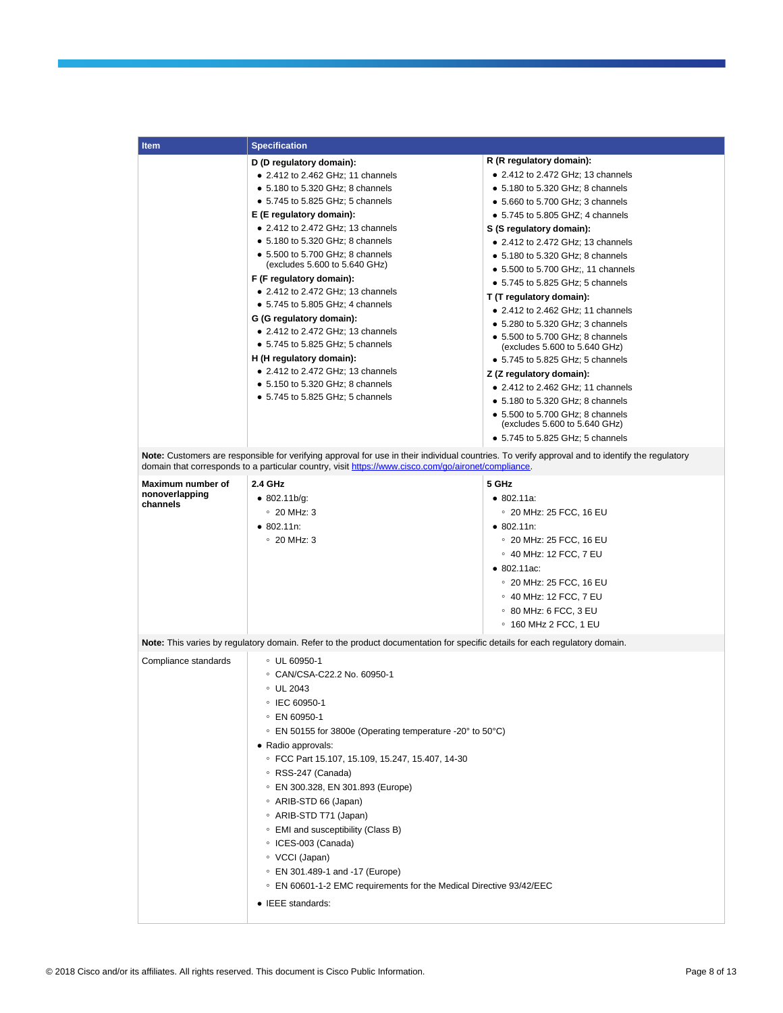| ltem                 | <b>Specification</b>                                                                                                                                                                                                                                   |                                                                   |  |  |  |
|----------------------|--------------------------------------------------------------------------------------------------------------------------------------------------------------------------------------------------------------------------------------------------------|-------------------------------------------------------------------|--|--|--|
|                      | D (D regulatory domain):                                                                                                                                                                                                                               | R (R regulatory domain):                                          |  |  |  |
|                      | • 2.412 to 2.462 GHz; 11 channels                                                                                                                                                                                                                      | • 2.412 to 2.472 GHz; 13 channels                                 |  |  |  |
|                      | • 5.180 to 5.320 GHz; 8 channels                                                                                                                                                                                                                       | • 5.180 to 5.320 GHz; 8 channels                                  |  |  |  |
|                      | $\bullet$ 5.745 to 5.825 GHz; 5 channels                                                                                                                                                                                                               | • 5.660 to 5.700 GHz; 3 channels                                  |  |  |  |
|                      | E (E regulatory domain):                                                                                                                                                                                                                               | $\bullet$ 5.745 to 5.805 GHZ: 4 channels                          |  |  |  |
|                      | • 2.412 to 2.472 GHz: 13 channels                                                                                                                                                                                                                      | S (S regulatory domain):                                          |  |  |  |
|                      | • 5.180 to 5.320 GHz; 8 channels                                                                                                                                                                                                                       | • 2.412 to 2.472 GHz; 13 channels                                 |  |  |  |
|                      | $\bullet$ 5.500 to 5.700 GHz; 8 channels                                                                                                                                                                                                               | • 5.180 to 5.320 GHz; 8 channels                                  |  |  |  |
|                      | (excludes 5.600 to 5.640 GHz)                                                                                                                                                                                                                          | • 5.500 to 5.700 GHz;, 11 channels                                |  |  |  |
|                      | F (F regulatory domain):<br>• 2.412 to 2.472 GHz; 13 channels                                                                                                                                                                                          | • 5.745 to 5.825 GHz; 5 channels                                  |  |  |  |
|                      | $\bullet$ 5.745 to 5.805 GHz; 4 channels                                                                                                                                                                                                               | T (T regulatory domain):                                          |  |  |  |
|                      | G (G regulatory domain):                                                                                                                                                                                                                               | • 2.412 to 2.462 GHz; 11 channels                                 |  |  |  |
|                      | • 2.412 to 2.472 GHz; 13 channels                                                                                                                                                                                                                      | • 5.280 to 5.320 GHz; 3 channels                                  |  |  |  |
|                      | • 5.745 to 5.825 GHz; 5 channels                                                                                                                                                                                                                       | • 5.500 to 5.700 GHz; 8 channels                                  |  |  |  |
|                      | H (H regulatory domain):                                                                                                                                                                                                                               | (excludes 5.600 to 5.640 GHz)                                     |  |  |  |
|                      | • 2.412 to 2.472 GHz; 13 channels                                                                                                                                                                                                                      | $\bullet$ 5.745 to 5.825 GHz; 5 channels                          |  |  |  |
|                      | $\bullet$ 5.150 to 5.320 GHz: 8 channels                                                                                                                                                                                                               | Z (Z regulatory domain):                                          |  |  |  |
|                      | • 5.745 to 5.825 GHz; 5 channels                                                                                                                                                                                                                       | • 2.412 to 2.462 GHz: 11 channels                                 |  |  |  |
|                      |                                                                                                                                                                                                                                                        | • 5.180 to 5.320 GHz; 8 channels                                  |  |  |  |
|                      |                                                                                                                                                                                                                                                        | • 5.500 to 5.700 GHz; 8 channels<br>(excludes 5.600 to 5.640 GHz) |  |  |  |
|                      |                                                                                                                                                                                                                                                        | • 5.745 to 5.825 GHz; 5 channels                                  |  |  |  |
|                      |                                                                                                                                                                                                                                                        |                                                                   |  |  |  |
|                      | Note: Customers are responsible for verifying approval for use in their individual countries. To verify approval and to identify the regulatory<br>domain that corresponds to a particular country, visit https://www.cisco.com/go/aironet/compliance. |                                                                   |  |  |  |
| Maximum number of    | 2.4 GHz                                                                                                                                                                                                                                                | 5 GHz                                                             |  |  |  |
| nonoverlapping       | $\bullet$ 802.11b/g:                                                                                                                                                                                                                                   | • 802.11a.                                                        |  |  |  |
| channels             | $\degree$ 20 MHz: 3                                                                                                                                                                                                                                    | ○ 20 MHz: 25 FCC, 16 EU                                           |  |  |  |
|                      | • 802.11n:                                                                                                                                                                                                                                             | • 802.11n:                                                        |  |  |  |
|                      | $\degree$ 20 MHz: 3                                                                                                                                                                                                                                    | ○ 20 MHz: 25 FCC, 16 EU                                           |  |  |  |
|                      |                                                                                                                                                                                                                                                        | ○ 40 MHz: 12 FCC, 7 EU                                            |  |  |  |
|                      |                                                                                                                                                                                                                                                        | • 802.11ac.                                                       |  |  |  |
|                      |                                                                                                                                                                                                                                                        | ○ 20 MHz: 25 FCC, 16 EU                                           |  |  |  |
|                      |                                                                                                                                                                                                                                                        | ○ 40 MHz: 12 FCC, 7 EU                                            |  |  |  |
|                      |                                                                                                                                                                                                                                                        | $\degree$ 80 MHz: 6 FCC, 3 EU                                     |  |  |  |
|                      |                                                                                                                                                                                                                                                        |                                                                   |  |  |  |
|                      |                                                                                                                                                                                                                                                        | $\degree$ 160 MHz 2 FCC, 1 EU                                     |  |  |  |
|                      | Note: This varies by regulatory domain. Refer to the product documentation for specific details for each regulatory domain.                                                                                                                            |                                                                   |  |  |  |
| Compliance standards | $\degree$ UL 60950-1                                                                                                                                                                                                                                   |                                                                   |  |  |  |
|                      | © CAN/CSA-C22.2 No. 60950-1                                                                                                                                                                                                                            |                                                                   |  |  |  |
|                      | $\circ$ UL 2043                                                                                                                                                                                                                                        |                                                                   |  |  |  |
|                      | © IEC 60950-1                                                                                                                                                                                                                                          |                                                                   |  |  |  |
|                      | $\degree$ EN 60950-1                                                                                                                                                                                                                                   |                                                                   |  |  |  |
|                      | $\degree$ EN 50155 for 3800e (Operating temperature -20 $\degree$ to 50 $\degree$ C)                                                                                                                                                                   |                                                                   |  |  |  |
|                      | • Radio approvals:                                                                                                                                                                                                                                     |                                                                   |  |  |  |
|                      | • FCC Part 15.107, 15.109, 15.247, 15.407, 14-30                                                                                                                                                                                                       |                                                                   |  |  |  |
|                      | ∘ RSS-247 (Canada)                                                                                                                                                                                                                                     |                                                                   |  |  |  |
|                      | ○ EN 300.328, EN 301.893 (Europe)                                                                                                                                                                                                                      |                                                                   |  |  |  |
|                      | ∘ ARIB-STD 66 (Japan)                                                                                                                                                                                                                                  |                                                                   |  |  |  |
|                      | ◦ ARIB-STD T71 (Japan)                                                                                                                                                                                                                                 |                                                                   |  |  |  |
|                      | • EMI and susceptibility (Class B)                                                                                                                                                                                                                     |                                                                   |  |  |  |
|                      | ○ ICES-003 (Canada)                                                                                                                                                                                                                                    |                                                                   |  |  |  |
|                      | ∘ VCCI (Japan)                                                                                                                                                                                                                                         |                                                                   |  |  |  |
|                      | © EN 301.489-1 and -17 (Europe)                                                                                                                                                                                                                        |                                                                   |  |  |  |
|                      | ○ EN 60601-1-2 EMC requirements for the Medical Directive 93/42/EEC                                                                                                                                                                                    |                                                                   |  |  |  |
|                      | • IEEE standards:                                                                                                                                                                                                                                      |                                                                   |  |  |  |
|                      |                                                                                                                                                                                                                                                        |                                                                   |  |  |  |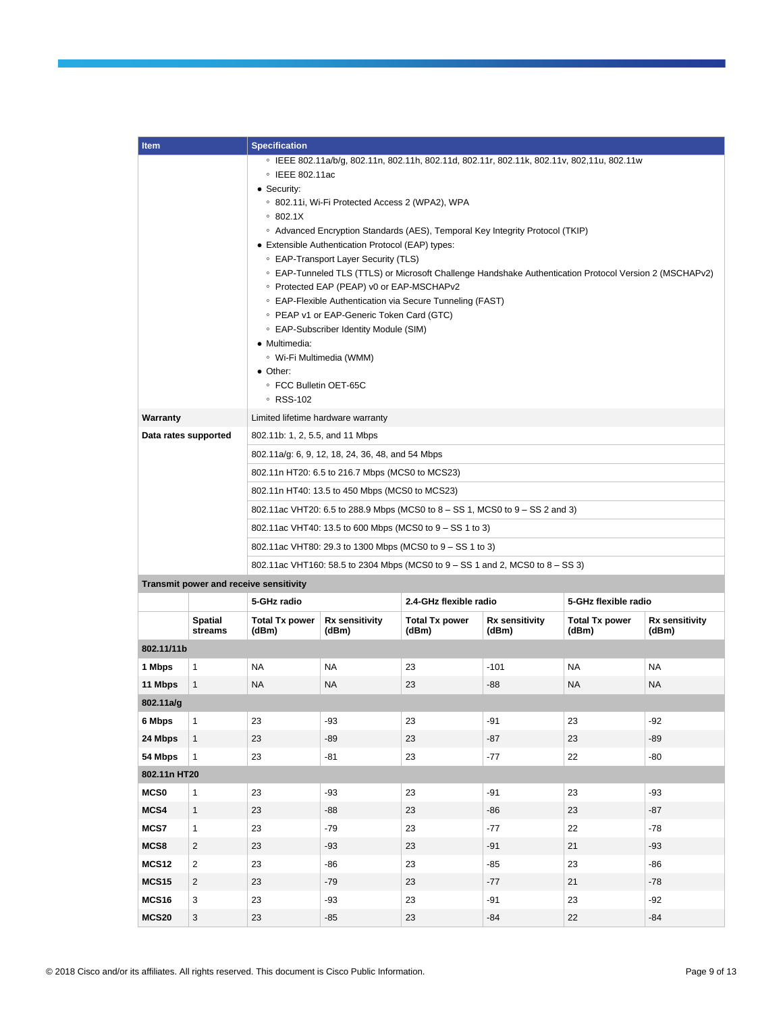| <b>Item</b>                                                                   |                      | <b>Specification</b>                                                                       |                                                  |                                                           |                                                                                                         |                                |                                |  |
|-------------------------------------------------------------------------------|----------------------|--------------------------------------------------------------------------------------------|--------------------------------------------------|-----------------------------------------------------------|---------------------------------------------------------------------------------------------------------|--------------------------------|--------------------------------|--|
|                                                                               |                      | ○ IEEE 802.11a/b/g, 802.11n, 802.11h, 802.11d, 802.11r, 802.11k, 802.11v, 802,11u, 802.11w |                                                  |                                                           |                                                                                                         |                                |                                |  |
|                                                                               |                      | ○ IEEE 802.11ac                                                                            |                                                  |                                                           |                                                                                                         |                                |                                |  |
|                                                                               |                      | • Security:                                                                                |                                                  |                                                           |                                                                                                         |                                |                                |  |
|                                                                               |                      | ○ 802.11i, Wi-Fi Protected Access 2 (WPA2), WPA<br>0.802.1X                                |                                                  |                                                           |                                                                                                         |                                |                                |  |
|                                                                               |                      |                                                                                            |                                                  |                                                           | ○ Advanced Encryption Standards (AES), Temporal Key Integrity Protocol (TKIP)                           |                                |                                |  |
|                                                                               |                      | • Extensible Authentication Protocol (EAP) types:                                          |                                                  |                                                           |                                                                                                         |                                |                                |  |
|                                                                               |                      |                                                                                            | ○ EAP-Transport Layer Security (TLS)             |                                                           |                                                                                                         |                                |                                |  |
|                                                                               |                      |                                                                                            |                                                  |                                                           | ○ EAP-Tunneled TLS (TTLS) or Microsoft Challenge Handshake Authentication Protocol Version 2 (MSCHAPv2) |                                |                                |  |
|                                                                               |                      |                                                                                            | ○ Protected EAP (PEAP) v0 or EAP-MSCHAPv2        | ○ EAP-Flexible Authentication via Secure Tunneling (FAST) |                                                                                                         |                                |                                |  |
|                                                                               |                      |                                                                                            | ○ PEAP v1 or EAP-Generic Token Card (GTC)        |                                                           |                                                                                                         |                                |                                |  |
|                                                                               |                      |                                                                                            | ○ EAP-Subscriber Identity Module (SIM)           |                                                           |                                                                                                         |                                |                                |  |
|                                                                               |                      | • Multimedia:                                                                              |                                                  |                                                           |                                                                                                         |                                |                                |  |
|                                                                               |                      |                                                                                            | ∘ Wi-Fi Multimedia (WMM)                         |                                                           |                                                                                                         |                                |                                |  |
|                                                                               |                      | • Other:<br>○ FCC Bulletin OET-65C                                                         |                                                  |                                                           |                                                                                                         |                                |                                |  |
|                                                                               |                      | ∘ RSS-102                                                                                  |                                                  |                                                           |                                                                                                         |                                |                                |  |
| Warranty                                                                      |                      | Limited lifetime hardware warranty                                                         |                                                  |                                                           |                                                                                                         |                                |                                |  |
|                                                                               | Data rates supported | 802.11b: 1, 2, 5.5, and 11 Mbps                                                            |                                                  |                                                           |                                                                                                         |                                |                                |  |
|                                                                               |                      |                                                                                            | 802.11a/g: 6, 9, 12, 18, 24, 36, 48, and 54 Mbps |                                                           |                                                                                                         |                                |                                |  |
|                                                                               |                      | 802.11n HT20: 6.5 to 216.7 Mbps (MCS0 to MCS23)                                            |                                                  |                                                           |                                                                                                         |                                |                                |  |
|                                                                               |                      | 802.11n HT40: 13.5 to 450 Mbps (MCS0 to MCS23)                                             |                                                  |                                                           |                                                                                                         |                                |                                |  |
|                                                                               |                      | 802.11ac VHT20: 6.5 to 288.9 Mbps (MCS0 to 8 – SS 1, MCS0 to 9 – SS 2 and 3)               |                                                  |                                                           |                                                                                                         |                                |                                |  |
|                                                                               |                      | 802.11ac VHT40: 13.5 to 600 Mbps (MCS0 to 9 – SS 1 to 3)                                   |                                                  |                                                           |                                                                                                         |                                |                                |  |
|                                                                               |                      | 802.11ac VHT80: 29.3 to 1300 Mbps (MCS0 to 9 – SS 1 to 3)                                  |                                                  |                                                           |                                                                                                         |                                |                                |  |
| 802.11ac VHT160: 58.5 to 2304 Mbps (MCS0 to 9 – SS 1 and 2, MCS0 to 8 – SS 3) |                      |                                                                                            |                                                  |                                                           |                                                                                                         |                                |                                |  |
|                                                                               |                      | Transmit power and receive sensitivity                                                     |                                                  |                                                           |                                                                                                         |                                |                                |  |
|                                                                               |                      | 5-GHz radio                                                                                |                                                  | 2.4-GHz flexible radio                                    |                                                                                                         | 5-GHz flexible radio           |                                |  |
|                                                                               | Spatial<br>streams   | <b>Total Tx power</b><br>(dBm)                                                             | <b>Rx sensitivity</b><br>(dBm)                   | <b>Total Tx power</b><br>(dBm)                            | <b>Rx sensitivity</b><br>(dBm)                                                                          | <b>Total Tx power</b><br>(dBm) | <b>Rx sensitivity</b><br>(dBm) |  |
| 802.11/11b                                                                    |                      |                                                                                            |                                                  |                                                           |                                                                                                         |                                |                                |  |
| 1 Mbps                                                                        | 1                    | <b>NA</b>                                                                                  | <b>NA</b>                                        | 23                                                        | $-101$                                                                                                  | NA                             | <b>NA</b>                      |  |
| 11 Mbps                                                                       | 1                    | <b>NA</b>                                                                                  | <b>NA</b>                                        | 23                                                        | -88                                                                                                     | <b>NA</b>                      | <b>NA</b>                      |  |
| 802.11a/g                                                                     |                      |                                                                                            |                                                  |                                                           |                                                                                                         |                                |                                |  |
| 6 Mbps                                                                        | $\mathbf{1}$         | 23                                                                                         | -93                                              | 23                                                        | -91                                                                                                     | 23                             | $-92$                          |  |
| 24 Mbps                                                                       | $\mathbf{1}$         | 23                                                                                         | $-89$                                            | 23                                                        | -87                                                                                                     | 23                             | $-89$                          |  |
| 54 Mbps                                                                       | $\mathbf{1}$         | 23                                                                                         | -81                                              | 23                                                        | -77                                                                                                     | 22                             | -80                            |  |
| 802.11n HT20                                                                  |                      |                                                                                            |                                                  |                                                           |                                                                                                         |                                |                                |  |
| <b>MCS0</b>                                                                   | 1                    | 23                                                                                         | -93                                              | 23                                                        | -91                                                                                                     | 23                             | $-93$                          |  |
| MCS4                                                                          | $\mathbf{1}$         | 23                                                                                         | $-88$                                            | 23                                                        | -86                                                                                                     | 23                             | $-87$                          |  |
| MCS7                                                                          | $\mathbf{1}$         | 23                                                                                         | $-79$                                            | 23                                                        | -77                                                                                                     | 22                             | $-78$                          |  |
| MCS8                                                                          | $\overline{2}$       | 23                                                                                         | $-93$                                            | 23                                                        | -91                                                                                                     | 21                             | $-93$                          |  |
| <b>MCS12</b>                                                                  | $\overline{2}$       | 23                                                                                         | -86                                              | 23                                                        | -85                                                                                                     | 23                             | -86                            |  |
| <b>MCS15</b>                                                                  | $\overline{c}$       | 23                                                                                         | $-79$                                            | 23                                                        | -77                                                                                                     | 21                             | -78                            |  |
| MCS16                                                                         | 3                    | 23                                                                                         | -93                                              | 23                                                        | $-91$                                                                                                   | 23                             | $-92$                          |  |
| <b>MCS20</b>                                                                  | 3                    | 23                                                                                         | -85                                              | 23                                                        | $-84$                                                                                                   | 22                             | $-84$                          |  |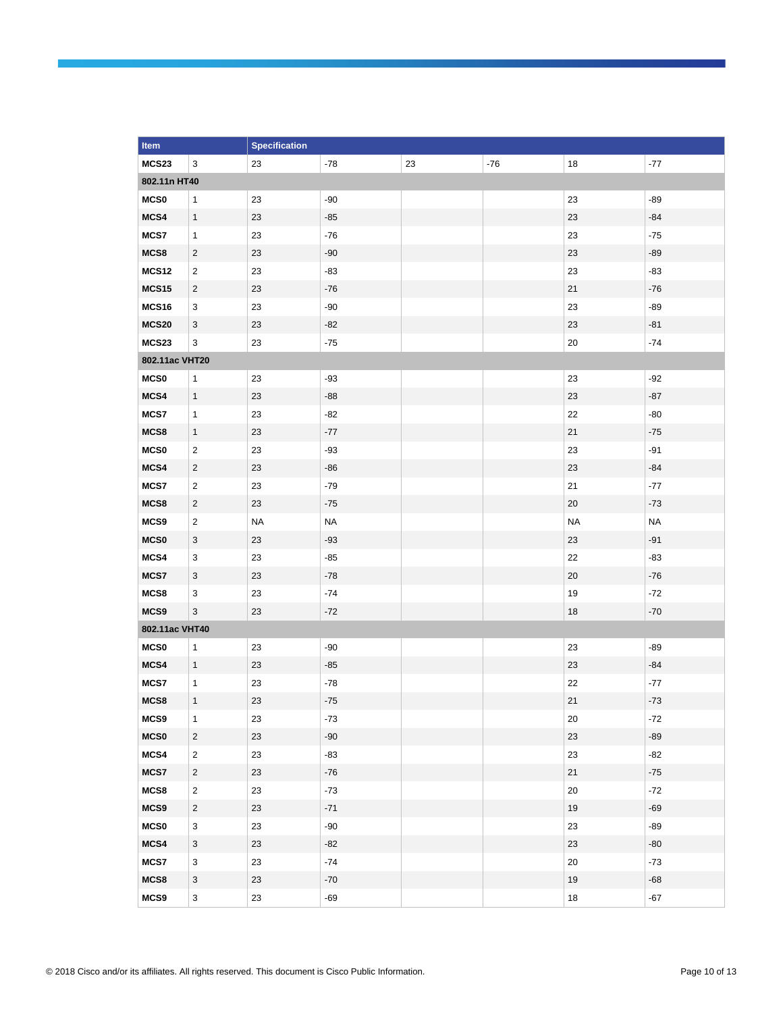| Item             |                           | <b>Specification</b> |           |    |       |           |           |
|------------------|---------------------------|----------------------|-----------|----|-------|-----------|-----------|
| MCS23            | 3                         | 23                   | $-78$     | 23 | $-76$ | 18        | $-77$     |
| 802.11n HT40     |                           |                      |           |    |       |           |           |
| <b>MCS0</b>      | $\mathbf{1}$              | 23                   | $-90$     |    |       | 23        | $-89$     |
| MCS4             | $\mathbf{1}$              | 23                   | $-85$     |    |       | 23        | $-84$     |
| MCS7             | $\mathbf{1}$              | 23                   | $-76$     |    |       | 23        | $-75$     |
| MCS8             | $\overline{c}$            | 23                   | $-90$     |    |       | 23        | $-89$     |
| <b>MCS12</b>     | $\sqrt{2}$                | 23                   | $-83$     |    |       | 23        | $-83$     |
| <b>MCS15</b>     | $\overline{c}$            | 23                   | $-76$     |    |       | 21        | $-76$     |
| <b>MCS16</b>     | 3                         | 23                   | $-90$     |    |       | 23        | $-89$     |
| <b>MCS20</b>     | 3                         | 23                   | $-82$     |    |       | 23        | $-81$     |
| <b>MCS23</b>     | 3                         | 23                   | $-75$     |    |       | $20\,$    | $-74$     |
| 802.11ac VHT20   |                           |                      |           |    |       |           |           |
| <b>MCS0</b>      | $\mathbf{1}$              | 23                   | $-93$     |    |       | 23        | $-92$     |
| MCS4             | $\mathbf{1}$              | 23                   | -88       |    |       | 23        | $-87$     |
| MCS7             | $\mathbf{1}$              | 23                   | $-82$     |    |       | 22        | $-80$     |
| MCS8             | $\mathbf{1}$              | 23                   | $-77$     |    |       | 21        | $-75$     |
| <b>MCS0</b>      | $\overline{2}$            | 23                   | $-93$     |    |       | 23        | $-91$     |
| MCS4             | $\overline{2}$            | 23                   | $-86$     |    |       | 23        | $-84$     |
| MCS7             | $\overline{2}$            | 23                   | $-79$     |    |       | 21        | $-77$     |
| MCS8             | $\overline{2}$            | 23                   | $-75$     |    |       | 20        | $-73$     |
| MCS9             | $\overline{2}$            | <b>NA</b>            | <b>NA</b> |    |       | <b>NA</b> | <b>NA</b> |
| MCS <sub>0</sub> | 3                         | 23                   | $-93$     |    |       | 23        | $-91$     |
| MCS4             | 3                         | 23                   | $-85$     |    |       | 22        | -83       |
| MCS7             | 3                         | 23                   | $-78$     |    |       | 20        | $-76$     |
| MCS8             | 3                         | 23                   | $-74$     |    |       | 19        | $-72$     |
| MCS9             | 3                         | 23                   | $-72$     |    |       | 18        | $-70$     |
| 802.11ac VHT40   |                           |                      |           |    |       |           |           |
| <b>MCS0</b>      | $\mathbf{1}$              | 23                   | $-90$     |    |       | 23        | $-89$     |
| MCS4             | $\mathbf{1}$              | 23                   | $-85$     |    |       | 23        | $-84$     |
| MCS7             | $\mathbf{1}$              | 23                   | $-78$     |    |       | 22        | $-77$     |
| MCS8             | $\mathbf{1}$              | 23                   | $-75$     |    |       | 21        | $-73$     |
| MCS9             | $\mathbf{1}$              | 23                   | $-73$     |    |       | 20        | $-72$     |
| <b>MCS0</b>      | $\overline{2}$            | 23                   | $-90$     |    |       | 23        | $-89$     |
| MCS4             | $\overline{2}$            | 23                   | $-83$     |    |       | 23        | $-82$     |
| MCS7             | $\overline{2}$            | 23                   | $-76$     |    |       | 21        | $-75$     |
| MCS8             | $\overline{2}$            | 23                   | $-73$     |    |       | 20        | $-72$     |
| MCS9             | $\sqrt{2}$                | 23                   | $-71$     |    |       | 19        | $-69$     |
| MCS0             | 3                         | 23                   | $-90$     |    |       | 23        | $-89$     |
| MCS4             | 3                         | 23                   | $-82$     |    |       | 23        | $-80$     |
| MCS7             | $\ensuremath{\mathsf{3}}$ | 23                   | $-74$     |    |       | $20\,$    | $-73$     |
| MCS8             | $\mathsf 3$               | 23                   | $-70$     |    |       | 19        | $-68$     |
| MCS9             | $\mathsf 3$               | 23                   | $-69$     |    |       | 18        | $-67$     |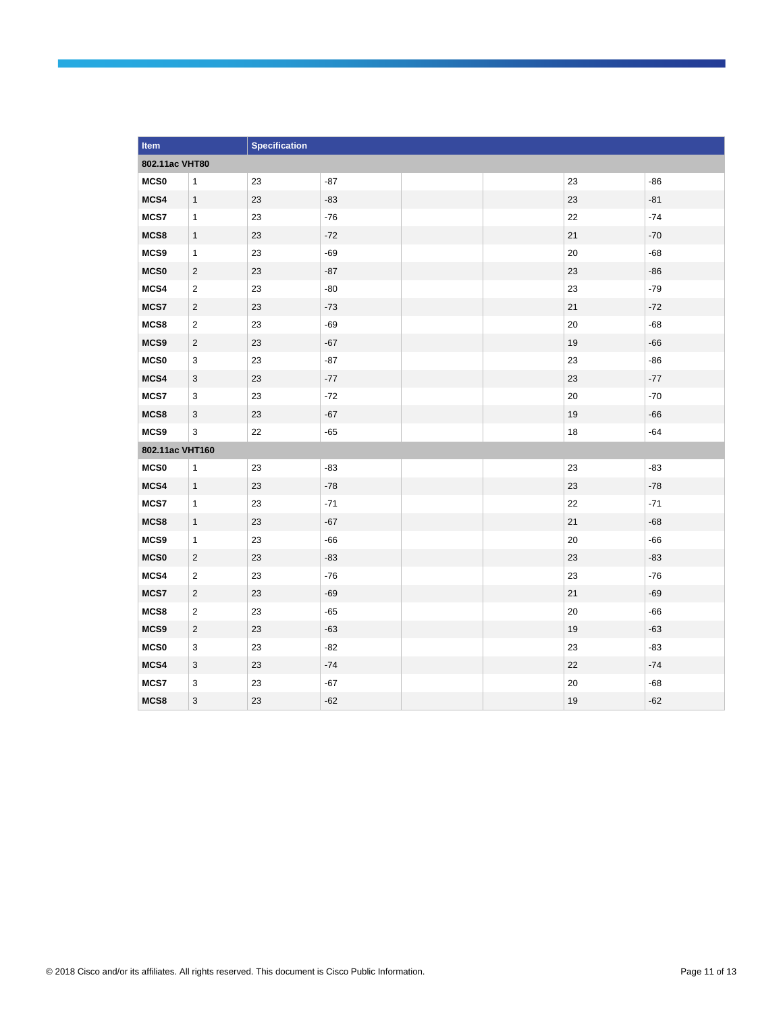| Item             |                           | <b>Specification</b> |       |  |  |        |       |
|------------------|---------------------------|----------------------|-------|--|--|--------|-------|
| 802.11ac VHT80   |                           |                      |       |  |  |        |       |
| MCS <sub>0</sub> | $\mathbf{1}$              | 23                   | $-87$ |  |  | 23     | $-86$ |
| MCS4             | $\mathbf{1}$              | 23                   | $-83$ |  |  | 23     | $-81$ |
| MCS7             | $\mathbf{1}$              | 23                   | $-76$ |  |  | 22     | $-74$ |
| MCS8             | $\mathbf{1}$              | 23                   | $-72$ |  |  | 21     | $-70$ |
| MCS9             | $\mathbf{1}$              | 23                   | $-69$ |  |  | 20     | $-68$ |
| <b>MCSO</b>      | $\sqrt{2}$                | 23                   | $-87$ |  |  | 23     | $-86$ |
| MCS4             | $\overline{2}$            | 23                   | $-80$ |  |  | 23     | $-79$ |
| MCS7             | $\overline{c}$            | 23                   | $-73$ |  |  | 21     | $-72$ |
| MCS8             | $\overline{2}$            | 23                   | $-69$ |  |  | 20     | $-68$ |
| MCS9             | $\overline{2}$            | 23                   | $-67$ |  |  | 19     | $-66$ |
| <b>MCSO</b>      | 3                         | 23                   | $-87$ |  |  | 23     | $-86$ |
| MCS4             | 3                         | 23                   | $-77$ |  |  | 23     | $-77$ |
| MCS7             | 3                         | 23                   | $-72$ |  |  | 20     | $-70$ |
| MCS8             | 3                         | 23                   | $-67$ |  |  | 19     | $-66$ |
| MCS9             | 3                         | 22                   | $-65$ |  |  | 18     | $-64$ |
| 802.11ac VHT160  |                           |                      |       |  |  |        |       |
| <b>MCS0</b>      | $\mathbf{1}$              | 23                   | $-83$ |  |  | 23     | $-83$ |
| MCS4             | $\mathbf{1}$              | 23                   | $-78$ |  |  | 23     | $-78$ |
| MCS7             | $\mathbf{1}$              | 23                   | $-71$ |  |  | 22     | $-71$ |
| MCS8             | $\mathbf{1}$              | 23                   | $-67$ |  |  | 21     | $-68$ |
| MCS9             | $\mathbf{1}$              | 23                   | $-66$ |  |  | 20     | $-66$ |
| <b>MCS0</b>      | $\sqrt{2}$                | 23                   | $-83$ |  |  | 23     | $-83$ |
| MCS4             | $\overline{2}$            | 23                   | $-76$ |  |  | 23     | $-76$ |
| MCS7             | $\overline{2}$            | 23                   | $-69$ |  |  | 21     | $-69$ |
| MCS8             | $\mathbf 2$               | 23                   | $-65$ |  |  | $20\,$ | $-66$ |
| MCS9             | $\overline{2}$            | 23                   | $-63$ |  |  | 19     | $-63$ |
| <b>MCS0</b>      | 3                         | 23                   | $-82$ |  |  | 23     | $-83$ |
| MCS4             | $\ensuremath{\mathsf{3}}$ | 23                   | $-74$ |  |  | 22     | $-74$ |
| MCS7             | 3                         | 23                   | $-67$ |  |  | 20     | $-68$ |
| MCS8             | 3                         | 23                   | $-62$ |  |  | 19     | $-62$ |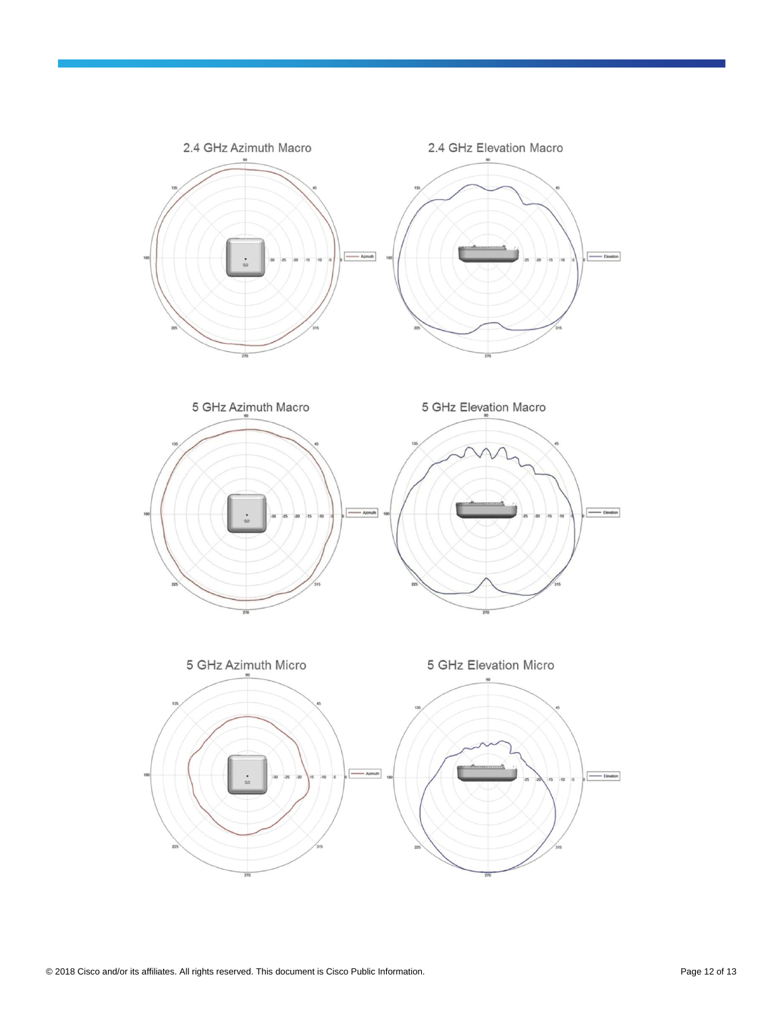